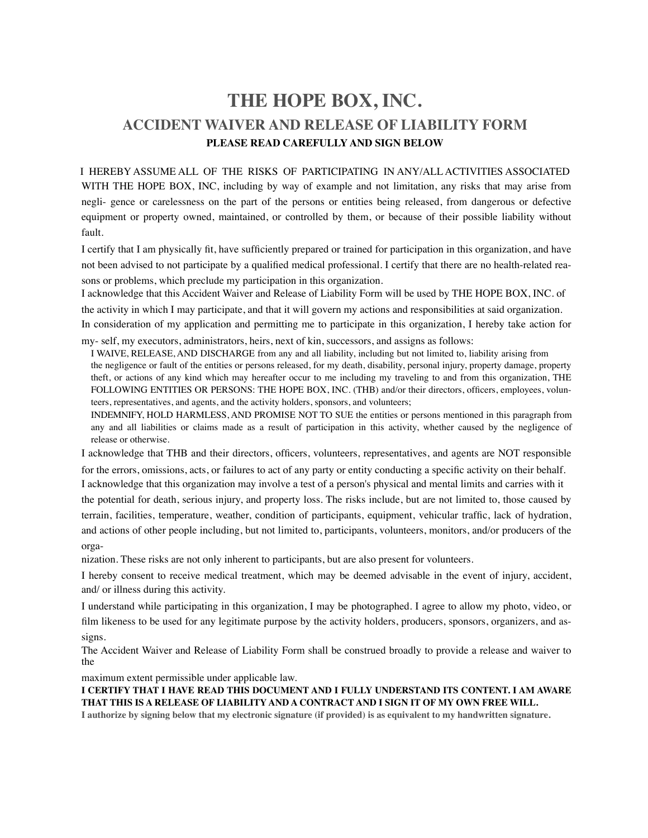## **THE HOPE BOX, INC. ACCIDENT WAIVER AND RELEASE OF LIABILITY FORM PLEASE READ CAREFULLY AND SIGN BELOW**

I HEREBY ASSUME ALL OF THE RISKS OF PARTICIPATING IN ANY/ALL ACTIVITIES ASSOCIATED WITH THE HOPE BOX, INC, including by way of example and not limitation, any risks that may arise from negli- gence or carelessness on the part of the persons or entities being released, from dangerous or defective equipment or property owned, maintained, or controlled by them, or because of their possible liability without fault.

I certify that I am physically fit, have sufficiently prepared or trained for participation in this organization, and have not been advised to not participate by a qualified medical professional. I certify that there are no health-related reasons or problems, which preclude my participation in this organization.

I acknowledge that this Accident Waiver and Release of Liability Form will be used by THE HOPE BOX, INC. of

the activity in which I may participate, and that it will govern my actions and responsibilities at said organization. In consideration of my application and permitting me to participate in this organization, I hereby take action for

my- self, my executors, administrators, heirs, next of kin, successors, and assigns as follows:

I WAIVE, RELEASE, AND DISCHARGE from any and all liability, including but not limited to, liability arising from the negligence or fault of the entities or persons released, for my death, disability, personal injury, property damage, property theft, or actions of any kind which may hereafter occur to me including my traveling to and from this organization, THE FOLLOWING ENTITIES OR PERSONS: THE HOPE BOX, INC. (THB) and/or their directors, officers, employees, volunteers, representatives, and agents, and the activity holders, sponsors, and volunteers;

INDEMNIFY, HOLD HARMLESS, AND PROMISE NOT TO SUE the entities or persons mentioned in this paragraph from any and all liabilities or claims made as a result of participation in this activity, whether caused by the negligence of release or otherwise.

I acknowledge that THB and their directors, officers, volunteers, representatives, and agents are NOT responsible

for the errors, omissions, acts, or failures to act of any party or entity conducting a specific activity on their behalf. I acknowledge that this organization may involve a test of a person's physical and mental limits and carries with it

the potential for death, serious injury, and property loss. The risks include, but are not limited to, those caused by terrain, facilities, temperature, weather, condition of participants, equipment, vehicular traffic, lack of hydration, and actions of other people including, but not limited to, participants, volunteers, monitors, and/or producers of the orga-

nization. These risks are not only inherent to participants, but are also present for volunteers.

I hereby consent to receive medical treatment, which may be deemed advisable in the event of injury, accident, and/ or illness during this activity.

I understand while participating in this organization, I may be photographed. I agree to allow my photo, video, or film likeness to be used for any legitimate purpose by the activity holders, producers, sponsors, organizers, and assigns.

The Accident Waiver and Release of Liability Form shall be construed broadly to provide a release and waiver to the

maximum extent permissible under applicable law.

**I CERTIFY THAT I HAVE READ THIS DOCUMENT AND I FULLY UNDERSTAND ITS CONTENT. I AM AWARE THAT THIS IS A RELEASE OF LIABILITY AND A CONTRACT AND I SIGN IT OF MY OWN FREE WILL.**

**I authorize by signing below that my electronic signature (if provided) is as equivalent to my handwritten signature.**